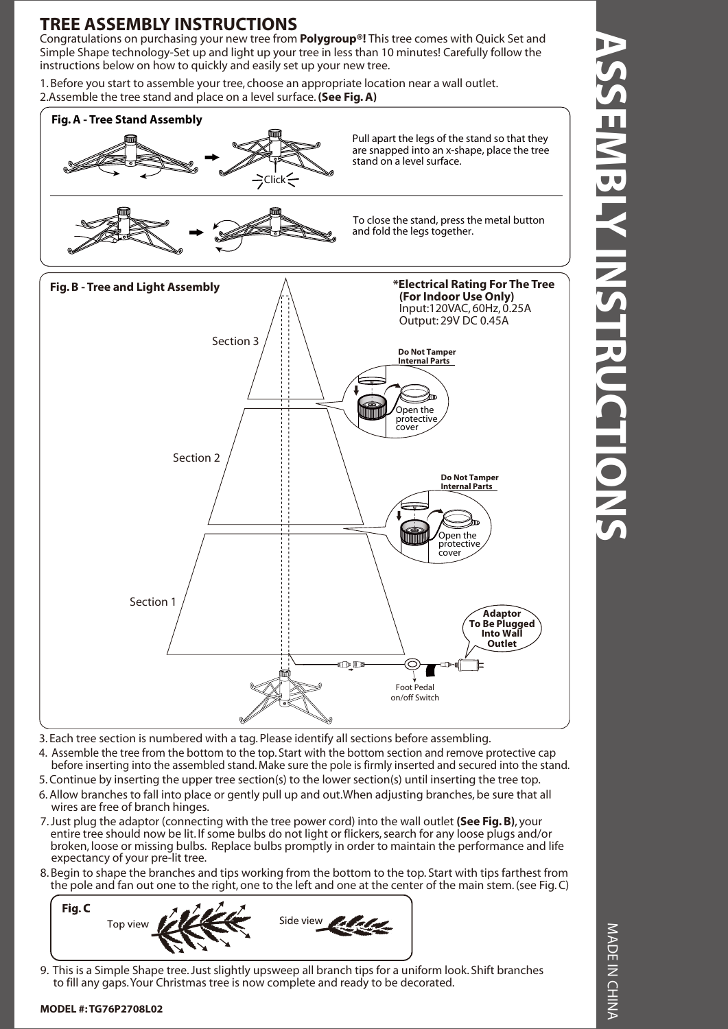# **TREE ASSEMBLY INSTRUCTIONS**

Congratulations on purchasing your new tree from **Polygroup®!** This tree comes with Quick Set and Simple Shape technology-Set up and light up your tree in less than 10 minutes! Carefully follow the instructions below on how to quickly and easily set up your new tree.

1. Before you start to assemble your tree, choose an appropriate location near a wall outlet. 2.Assemble the tree stand and place on a level surface. **(See Fig. A)**



3. Each tree section is numbered with a tag. Please identify all sections before assembling.

- 4. Assemble the tree from the bottom to the top. Start with the bottom section and remove protective cap
- before inserting into the assembled stand. Make sure the pole is firmly inserted and secured into the stand.
- 5. Continue by inserting the upper tree section(s) to the lower section(s) until inserting the tree top.
- 6. Allow branches to fall into place or gently pull up and out.When adjusting branches, be sure that all wires are free of branch hinges.
- 7. Just plug the adaptor (connecting with the tree power cord) into the wall outlet **(See Fig. B)**, your entire tree should now be lit. If some bulbs do not light or flickers, search for any loose plugs and/or broken, loose or missing bulbs. Replace bulbs promptly in order to maintain the performance and life expectancy of your pre-lit tree.
- 8. Begin to shape the branches and tips working from the bottom to the top. Start with tips farthest from the pole and fan out one to the right, one to the left and one at the center of the main stem. (see Fig. C)



9. This is a Simple Shape tree. Just slightly upsweep all branch tips for a uniform look. Shift branches to fill any gaps. Your Christmas tree is now complete and ready to be decorated.

### **MODEL #: TG76P2708L02**